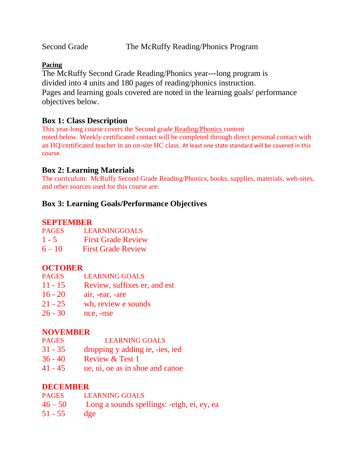Second Grade The McRuffy Reading/Phonics Program

#### **Pacing**

The McRuffy Second Grade Reading/Phonics year--‐long program is divided into 4 units and 180 pages of reading/phonics instruction. Pages and learning goals covered are noted in the learning goals/ performance objectives below.

# **Box 1: Class Description**

This year-long course covers the Second grade Reading/Phonics content noted below. Weekly certificated contact will be completed through direct personal contact with an HQ/certificated teacher in an on-site HC class. At least one state standard will be covered in this course.

# **Box 2: Learning Materials**

The curriculum: McRuffy Second Grade Reading/Phonics, books, supplies, materials, web-sites, and other sources used for this course are:

# **Box 3: Learning Goals/Performance Objectives**

#### **SEPTEMBER**

| <b>PAGES</b> | LEARNINGGOALS                                       |
|--------------|-----------------------------------------------------|
|              | $\mathbf{r}$ $\mathbf{a}$ $\mathbf{n}$ $\mathbf{b}$ |

- 1 5 First Grade Review
- 6 10 First Grade Review

### **OCTOBER**

- PAGES LEARNING GOALS
- 11 15 Review, suffixes er, and est
- 16 20 air, -ear, -are
- 21 25 wh, review e sounds
- 26 30 nce, -nse

### **NOVEMBER**

- PAGES LEARNING GOALS
- 31 35 dropping y adding ie, -ies, ied
- 36 40 Review & Test 1
- 41 45 ue, ui, oe as in shoe and canoe

### **DECEMBER**

| <b>PAGES</b> | <b>LEARNING GOALS</b>                      |
|--------------|--------------------------------------------|
| $46 - 50$    | Long a sounds spellings: -eigh, ei, ey, ea |
| 51 - 55      | dge                                        |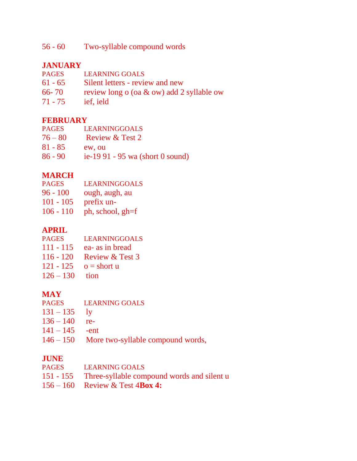56 - 60 Two-syllable compound words

# **JANUARY**

- PAGES LEARNING GOALS
- 61 65 Silent letters review and new
- 66- 70 review long o (oa & ow) add 2 syllable ow
- 71 75 ief, ield

# **FEBRUARY**

- PAGES LEARNINGGOALS
- $76 80$  Review & Test 2
- 81 85 ew, ou
- 86 90 ie-19 91 95 wa (short 0 sound)

# **MARCH**

- PAGES LEARNINGGOALS
- 96 100 ough, augh, au
- 101 105 prefix un-
- 106 110 ph, school, gh=f

# **APRIL**

- PAGES LEARNINGGOALS
- 111 115 ea- as in bread
- 116 120 Review & Test 3
- 121 125  $o =$  short u
- $126 130$  tion

# **MAY**

- LEARNING GOALS
- $131 135$  ly
- $136 140$  re-
- $141 145$  -ent
- 146 150 More two-syllable compound words,

### **JUNE**

| PAGES LEARNING GOALS                                 |
|------------------------------------------------------|
| 151 - 155 Three-syllable compound words and silent u |
| $156 - 160$ Review & Test 4Box 4:                    |